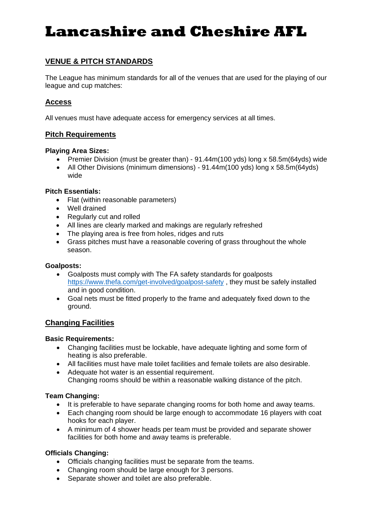# **Lancashire and Cheshire AFL**

## **VENUE & PITCH STANDARDS**

The League has minimum standards for all of the venues that are used for the playing of our league and cup matches:

## **Access**

All venues must have adequate access for emergency services at all times.

## **Pitch Requirements**

#### **Playing Area Sizes:**

- Premier Division (must be greater than) 91.44m(100 yds) long x 58.5m(64yds) wide
- All Other Divisions (minimum dimensions) 91.44m(100 yds) long x 58.5m(64yds) wide

#### **Pitch Essentials:**

- Flat (within reasonable parameters)
- Well drained
- Regularly cut and rolled
- All lines are clearly marked and makings are regularly refreshed
- The playing area is free from holes, ridges and ruts
- Grass pitches must have a reasonable covering of grass throughout the whole season.

#### **Goalposts:**

- Goalposts must comply with The FA safety standards for goalposts <https://www.thefa.com/get-involved/goalpost-safety> , they must be safely installed and in good condition.
- Goal nets must be fitted properly to the frame and adequately fixed down to the ground.

## **Changing Facilities**

#### **Basic Requirements:**

- Changing facilities must be lockable, have adequate lighting and some form of heating is also preferable.
- All facilities must have male toilet facilities and female toilets are also desirable.
- Adequate hot water is an essential requirement. Changing rooms should be within a reasonable walking distance of the pitch.

## **Team Changing:**

- It is preferable to have separate changing rooms for both home and away teams.
- Each changing room should be large enough to accommodate 16 players with coat hooks for each player.
- A minimum of 4 shower heads per team must be provided and separate shower facilities for both home and away teams is preferable.

#### **Officials Changing:**

- Officials changing facilities must be separate from the teams.
- Changing room should be large enough for 3 persons.
- Separate shower and toilet are also preferable.